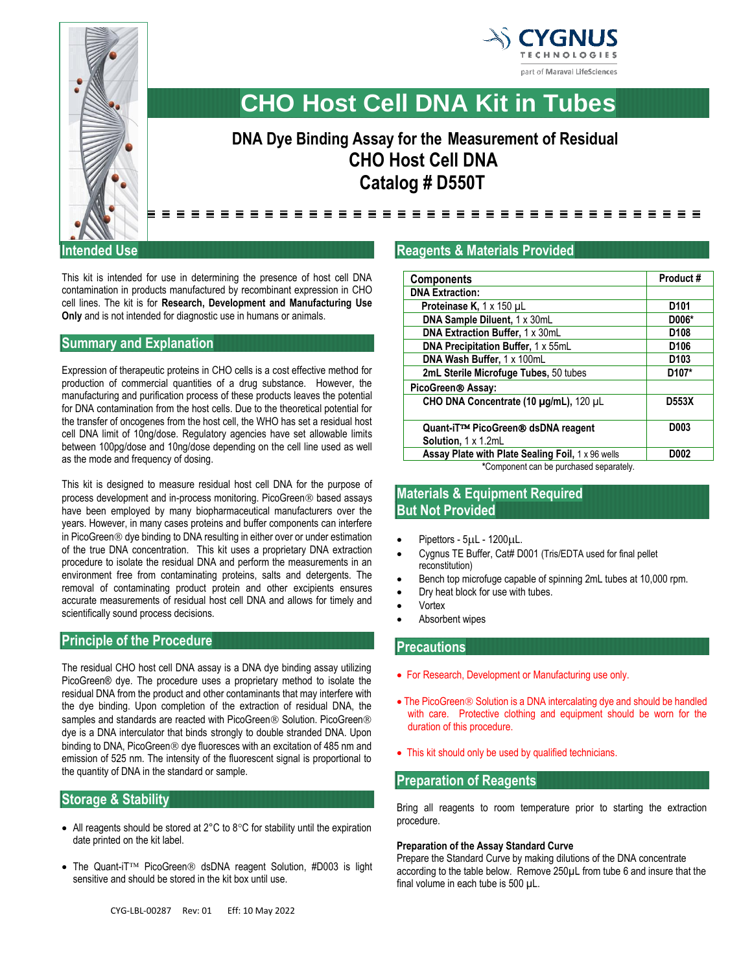



# **CHO Host Cell DNA Kit in Tubes**

# **DNA Dye Binding Assay for the Measurement of Residual CHO Host Cell DNA Catalog # D550T**

---------------------------------

#### **Intended Use**

This kit is intended for use in determining the presence of host cell DNA contamination in products manufactured by recombinant expression in CHO cell lines. The kit is for **Research, Development and Manufacturing Use Only** and is not intended for diagnostic use in humans or animals.

#### **Summary and Explanation**

Expression of therapeutic proteins in CHO cells is a cost effective method for production of commercial quantities of a drug substance. However, the manufacturing and purification process of these products leaves the potential for DNA contamination from the host cells. Due to the theoretical potential for the transfer of oncogenes from the host cell, the WHO has set a residual host cell DNA limit of 10ng/dose. Regulatory agencies have set allowable limits between 100pg/dose and 10ng/dose depending on the cell line used as well as the mode and frequency of dosing.

This kit is designed to measure residual host cell DNA for the purpose of process development and in-process monitoring. PicoGreen<sup>®</sup> based assays have been employed by many biopharmaceutical manufacturers over the years. However, in many cases proteins and buffer components can interfere in PicoGreen<sup>®</sup> dye binding to DNA resulting in either over or under estimation of the true DNA concentration. This kit uses a proprietary DNA extraction procedure to isolate the residual DNA and perform the measurements in an environment free from contaminating proteins, salts and detergents. The removal of contaminating product protein and other excipients ensures accurate measurements of residual host cell DNA and allows for timely and scientifically sound process decisions.

# **Principle of the Procedure**

The residual CHO host cell DNA assay is a DNA dye binding assay utilizing PicoGreen® dye. The procedure uses a proprietary method to isolate the residual DNA from the product and other contaminants that may interfere with the dye binding. Upon completion of the extraction of residual DNA, the samples and standards are reacted with PicoGreen® Solution. PicoGreen® dye is a DNA interculator that binds strongly to double stranded DNA. Upon binding to DNA, PicoGreen<sup>®</sup> dye fluoresces with an excitation of 485 nm and emission of 525 nm. The intensity of the fluorescent signal is proportional to the quantity of DNA in the standard or sample.

#### **Storage & Stability**

- All reagents should be stored at  $2^{\circ}$ C to  $8^{\circ}$ C for stability until the expiration date printed on the kit label.
- The Quant-iT<sup>TM</sup> PicoGreen<sup>®</sup> dsDNA reagent Solution, #D003 is light sensitive and should be stored in the kit box until use.

# **Reagents & Materials Provided**

| <b>Components</b>                                        | Product#           |
|----------------------------------------------------------|--------------------|
| <b>DNA Extraction:</b>                                   |                    |
| <b>Proteinase K, 1 x 150 µL</b>                          | D <sub>101</sub>   |
| DNA Sample Diluent, 1 x 30mL                             | D006*              |
| DNA Extraction Buffer, 1 x 30mL                          | D <sub>108</sub>   |
| DNA Precipitation Buffer, 1 x 55mL                       | D <sub>106</sub>   |
| DNA Wash Buffer, 1 x 100mL                               | D <sub>103</sub>   |
| 2mL Sterile Microfuge Tubes, 50 tubes                    | D <sub>107</sub> * |
| PicoGreen® Assay:                                        |                    |
| CHO DNA Concentrate (10 µg/mL), 120 µL                   | D553X              |
| Quant-iT™ PicoGreen® dsDNA reagent                       | D003               |
| Solution, 1 x 1.2mL                                      |                    |
| <b>Assay Plate with Plate Sealing Foil, 1 x 96 wells</b> | D002               |
| *Component can be purchased separately.                  |                    |

# **Materials & Equipment Required But Not Provided**

- Pipettors 5µL 1200µL.
- Cygnus TE Buffer, Cat# D001 (Tris/EDTA used for final pellet reconstitution)
- Bench top microfuge capable of spinning 2mL tubes at 10,000 rpm.
- Dry heat block for use with tubes.
- Vortex
- Absorbent wipes

#### **Precautions**

- For Research, Development or Manufacturing use only.
- The PicoGreen<sup>®</sup> Solution is a DNA intercalating dye and should be handled with care. Protective clothing and equipment should be worn for the duration of this procedure.
- This kit should only be used by qualified technicians.

#### **Preparation of Reagents**

Bring all reagents to room temperature prior to starting the extraction procedure.

#### **Preparation of the Assay Standard Curve**

Prepare the Standard Curve by making dilutions of the DNA concentrate according to the table below. Remove 250µL from tube 6 and insure that the final volume in each tube is 500 µL.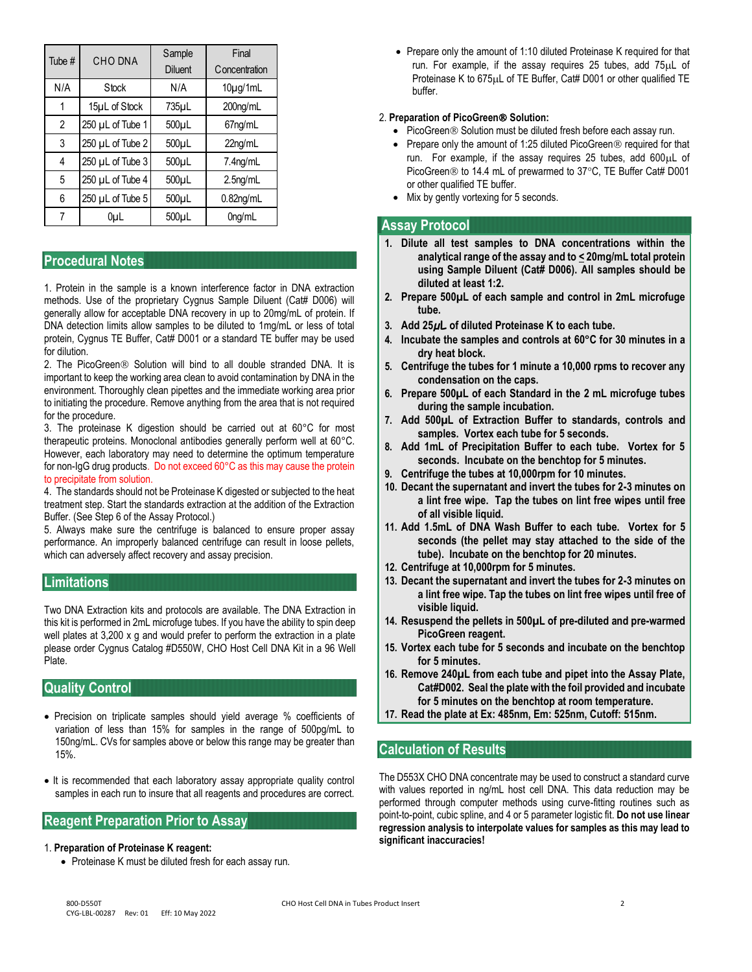| Tube # | <b>CHO DNA</b>   | Sample<br><b>Diluent</b> | Final<br>Concentration |
|--------|------------------|--------------------------|------------------------|
| N/A    | Stock            | N/A                      | $10\mu g/1mL$          |
| 1      | 15µL of Stock    | 735µL                    | 200ng/mL               |
| 2      | 250 µL of Tube 1 | $500\mu L$               | 67ng/mL                |
| 3      | 250 µL of Tube 2 | $500\mu L$               | 22ng/mL                |
| 4      | 250 µL of Tube 3 | 500µL                    | $7.4$ ng/mL            |
| 5      | 250 µL of Tube 4 | $500\mu L$               | 2.5 <sub>ng</sub> /mL  |
| 6      | 250 µL of Tube 5 | $500\mu L$               | $0.82$ ng/mL           |
| 7      | 0uL              | 500uL                    | 0ng/mL                 |

#### **Procedural Notes**

1. Protein in the sample is a known interference factor in DNA extraction methods. Use of the proprietary Cygnus Sample Diluent (Cat# D006) will generally allow for acceptable DNA recovery in up to 20mg/mL of protein. If DNA detection limits allow samples to be diluted to 1mg/mL or less of total protein, Cygnus TE Buffer, Cat# D001 or a standard TE buffer may be used for dilution.

2. The PicoGreen® Solution will bind to all double stranded DNA. It is important to keep the working area clean to avoid contamination by DNA in the environment. Thoroughly clean pipettes and the immediate working area prior to initiating the procedure. Remove anything from the area that is not required for the procedure.

3. The proteinase K digestion should be carried out at 60°C for most therapeutic proteins. Monoclonal antibodies generally perform well at 60°C. However, each laboratory may need to determine the optimum temperature for non-IgG drug products. Do not exceed 60°C as this may cause the protein to precipitate from solution.

4. The standards should not be Proteinase K digested or subjected to the heat treatment step. Start the standards extraction at the addition of the Extraction Buffer. (See Step 6 of the Assay Protocol.)

5. Always make sure the centrifuge is balanced to ensure proper assay performance. An improperly balanced centrifuge can result in loose pellets, which can adversely affect recovery and assay precision.

#### **Limitations**

Two DNA Extraction kits and protocols are available. The DNA Extraction in this kit is performed in 2mL microfuge tubes. If you have the ability to spin deep well plates at 3,200 x q and would prefer to perform the extraction in a plate please order Cygnus Catalog #D550W, CHO Host Cell DNA Kit in a 96 Well Plate.

#### **Quality Control**

- Precision on triplicate samples should yield average % coefficients of variation of less than 15% for samples in the range of 500pg/mL to 150ng/mL. CVs for samples above or below this range may be greater than 15%.
- It is recommended that each laboratory assay appropriate quality control samples in each run to insure that all reagents and procedures are correct.

## **Reagent Preparation Prior to Assay**

#### 1. **Preparation of Proteinase K reagent:**

• Proteinase K must be diluted fresh for each assay run.

• Prepare only the amount of 1:10 diluted Proteinase K required for that run. For example, if the assay requires 25 tubes, add 75uL of Proteinase K to 675 µL of TE Buffer, Cat# D001 or other qualified TE buffer.

#### 2. **Preparation of PicoGreen Solution:**

- PicoGreen<sup>®</sup> Solution must be diluted fresh before each assay run.
- Prepare only the amount of 1:25 diluted PicoGreen  $\circledR$  required for that run. For example, if the assay requires 25 tubes, add  $600\mu L$  of PicoGreen<sup>®</sup> to 14.4 mL of prewarmed to 37°C, TE Buffer Cat# D001 or other qualified TE buffer.
- Mix by gently vortexing for 5 seconds.

#### **Assay Protocol**

- **1. Dilute all test samples to DNA concentrations within the analytical range of the assay and to < 20mg/mL total protein using Sample Diluent (Cat# D006). All samples should be diluted at least 1:2.**
- **2. Prepare 500µL of each sample and control in 2mL microfuge tube.**
- **3. Add 25µL of diluted Proteinase K to each tube.**
- **4. Incubate the samples and controls at 60°C for 30 minutes in a dry heat block.**
- **5. Centrifuge the tubes for 1 minute a 10,000 rpms to recover any condensation on the caps.**
- **6. Prepare 500µL of each Standard in the 2 mL microfuge tubes during the sample incubation.**
- **7. Add 500µL of Extraction Buffer to standards, controls and samples. Vortex each tube for 5 seconds.**
- **8. Add 1mL of Precipitation Buffer to each tube. Vortex for 5 seconds. Incubate on the benchtop for 5 minutes.**
- **9. Centrifuge the tubes at 10,000rpm for 10 minutes.**
- **10. Decant the supernatant and invert the tubes for 2-3 minutes on a lint free wipe. Tap the tubes on lint free wipes until free of all visible liquid.**
- **11. Add 1.5mL of DNA Wash Buffer to each tube. Vortex for 5 seconds (the pellet may stay attached to the side of the tube). Incubate on the benchtop for 20 minutes.**
- **12. Centrifuge at 10,000rpm for 5 minutes.**
- **13. Decant the supernatant and invert the tubes for 2-3 minutes on a lint free wipe. Tap the tubes on lint free wipes until free of visible liquid.**
- **14. Resuspend the pellets in 500µL of pre-diluted and pre-warmed PicoGreen reagent.**
- **15. Vortex each tube for 5 seconds and incubate on the benchtop for 5 minutes.**
- **16. Remove 240µL from each tube and pipet into the Assay Plate, Cat#D002. Seal the plate with the foil provided and incubate for 5 minutes on the benchtop at room temperature.**
- **17. Read the plate at Ex: 485nm, Em: 525nm, Cutoff: 515nm.**

#### **Calculation of Results**

The D553X CHO DNA concentrate may be used to construct a standard curve with values reported in ng/mL host cell DNA. This data reduction may be performed through computer methods using curve-fitting routines such as point-to-point, cubic spline, and 4 or 5 parameter logistic fit. **Do not use linear regression analysis to interpolate values for samples as this may lead to significant inaccuracies!**